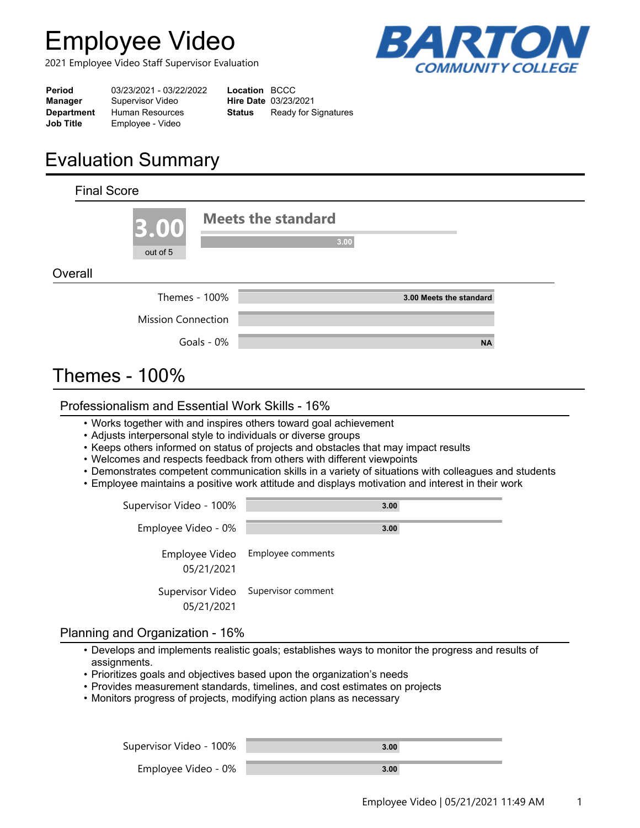# **Employee Video**

2021 Employee Video Staff Supervisor Evaluation



| Period            | 03/23/2021 - 03/22/2022 | <b>Location BCCC</b> |                             |
|-------------------|-------------------------|----------------------|-----------------------------|
| Manager           | Supervisor Video        |                      | <b>Hire Date 03/23/2021</b> |
| <b>Department</b> | Human Resources         | Status               | Ready for Signatures        |
| <b>Job Title</b>  | Employee - Video        |                      |                             |
|                   |                         |                      |                             |

# **Evaluation Summary**

| <b>Final Score</b>   |                           |            |                                   |  |
|----------------------|---------------------------|------------|-----------------------------------|--|
|                      | 3.00<br>out of 5          |            | <b>Meets the standard</b><br>3.00 |  |
| Overall              |                           |            |                                   |  |
|                      | Themes - 100%             |            | 3.00 Meets the standard           |  |
|                      | <b>Mission Connection</b> |            |                                   |  |
|                      |                           | Goals - 0% | <b>NA</b>                         |  |
| <b>Themes - 100%</b> |                           |            |                                   |  |

### Professionalism and Essential Work Skills - 16%

- Works together with and inspires others toward goal achievement
- Adjusts interpersonal style to individuals or diverse groups
- Keeps others informed on status of projects and obstacles that may impact results
- Welcomes and respects feedback from others with different viewpoints
- Demonstrates competent communication skills in a variety of situations with colleagues and students
- Employee maintains a positive work attitude and displays motivation and interest in their work

| Supervisor Video - 100%        | 3.00               |
|--------------------------------|--------------------|
| Employee Video - 0%            | 3.00               |
| Employee Video<br>05/21/2021   | Employee comments  |
| Supervisor Video<br>05/21/2021 | Supervisor comment |

### Planning and Organization - 16%

- $\bullet$  Develops and implements realistic goals; establishes ways to monitor the progress and results of assignments.
- Prioritizes goals and objectives based upon the organization's needs
- Provides measurement standards, timelines, and cost estimates on projects
- Monitors progress of projects, modifying action plans as necessary

| Supervisor Video - 100% | 3.00 |  |
|-------------------------|------|--|
| Employee Video - 0%     | 3.00 |  |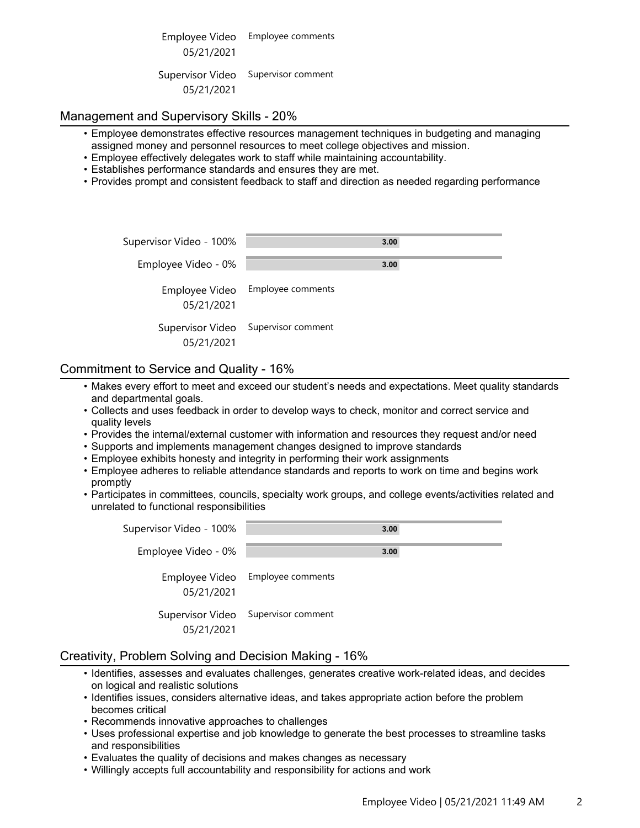Employee Video Employee comments 05/21/2021 Supervisor Video Supervisor comment 05/21/2021

#### Management and Supervisory Skills - 20%

- Employee demonstrates effective resources management techniques in budgeting and managing •assigned money and personnel resources to meet college objectives and mission.
- Employee effectively delegates work to staff while maintaining accountability.
- Establishes performance standards and ensures they are met.
- Provides prompt and consistent feedback to staff and direction as needed regarding performance

| Supervisor Video - 100% | 3.00                                |
|-------------------------|-------------------------------------|
| Employee Video - 0%     | 3.00                                |
| 05/21/2021              | Employee Video Employee comments    |
| 05/21/2021              | Supervisor Video Supervisor comment |

#### Commitment to Service and Quality - 16%

- $\bullet$  Makes every effort to meet and exceed our student's needs and expectations. Meet quality standards and departmental goals.
- Collects and uses feedback in order to develop ways to check, monitor and correct service and •quality levels
- Provides the internal/external customer with information and resources they request and/or need
- Supports and implements management changes designed to improve standards
- Employee exhibits honesty and integrity in performing their work assignments
- Employee adheres to reliable attendance standards and reports to work on time and begins work •promptly
- $\bullet$  Participates in committees, councils, specialty work groups, and college events/activities related and unrelated to functional responsibilities

| Supervisor Video - 100% | 3.00                                |
|-------------------------|-------------------------------------|
| Employee Video - 0%     | 3.00                                |
| 05/21/2021              | Employee Video Employee comments    |
| 05/21/2021              | Supervisor Video Supervisor comment |

#### Creativity, Problem Solving and Decision Making - 16%

- $\bullet$  Identifies, assesses and evaluates challenges, generates creative work-related ideas, and decides on logical and realistic solutions
- $\cdot$  Identifies issues, considers alternative ideas, and takes appropriate action before the problem becomes critical
- Recommends innovative approaches to challenges
- Uses professional expertise and job knowledge to generate the best processes to streamline tasks •and responsibilities
- Evaluates the quality of decisions and makes changes as necessary
- Willingly accepts full accountability and responsibility for actions and work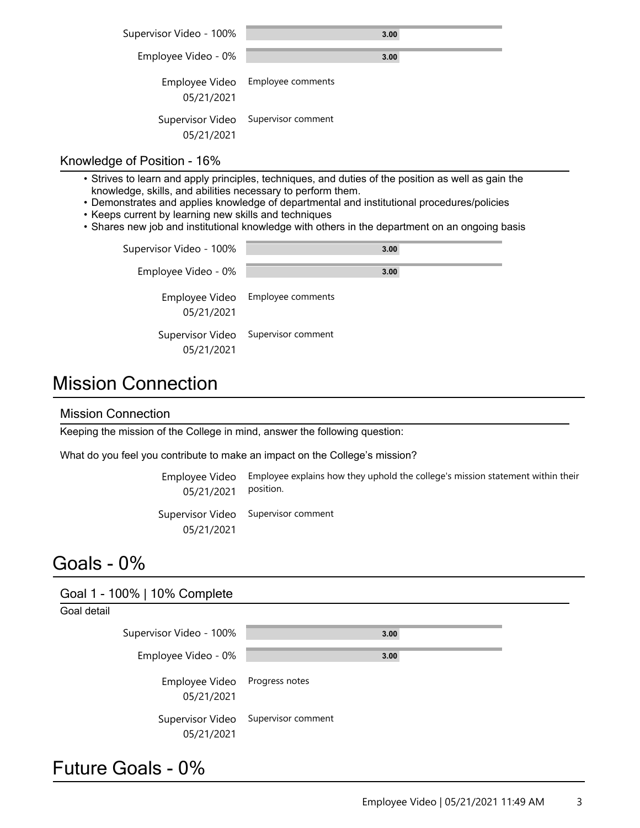| Supervisor Video - 100%        | 3.00                             |
|--------------------------------|----------------------------------|
| Employee Video - 0%            | 3.00                             |
| 05/21/2021                     | Employee Video Employee comments |
| Supervisor Video<br>05/21/2021 | Supervisor comment               |

#### Knowledge of Position - 16%

- $\bullet$  Strives to learn and apply principles, techniques, and duties of the position as well as gain the knowledge, skills, and abilities necessary to perform them.
- Demonstrates and applies knowledge of departmental and institutional procedures/policies
- Keeps current by learning new skills and techniques
- Shares new job and institutional knowledge with others in the department on an ongoing basis

| Supervisor Video - 100% | 3.00                                |
|-------------------------|-------------------------------------|
| Employee Video - 0%     | 3.00                                |
| 05/21/2021              | Employee Video Employee comments    |
| 05/21/2021              | Supervisor Video Supervisor comment |

# Mission Connection

#### Mission Connection

Keeping the mission of the College in mind, answer the following question:

What do you feel you contribute to make an impact on the College's mission?

Employee explains how they uphold the college's mission statement within their position. Employee Video 05/21/2021

Supervisor Video Supervisor comment 05/21/2021

### Goals - 0%

| Goal 1 - 100%   10% Complete   |                    |      |  |
|--------------------------------|--------------------|------|--|
| Goal detail                    |                    |      |  |
| Supervisor Video - 100%        |                    | 3.00 |  |
| Employee Video - 0%            |                    | 3.00 |  |
| Employee Video<br>05/21/2021   | Progress notes     |      |  |
| Supervisor Video<br>05/21/2021 | Supervisor comment |      |  |

### Future Goals - 0%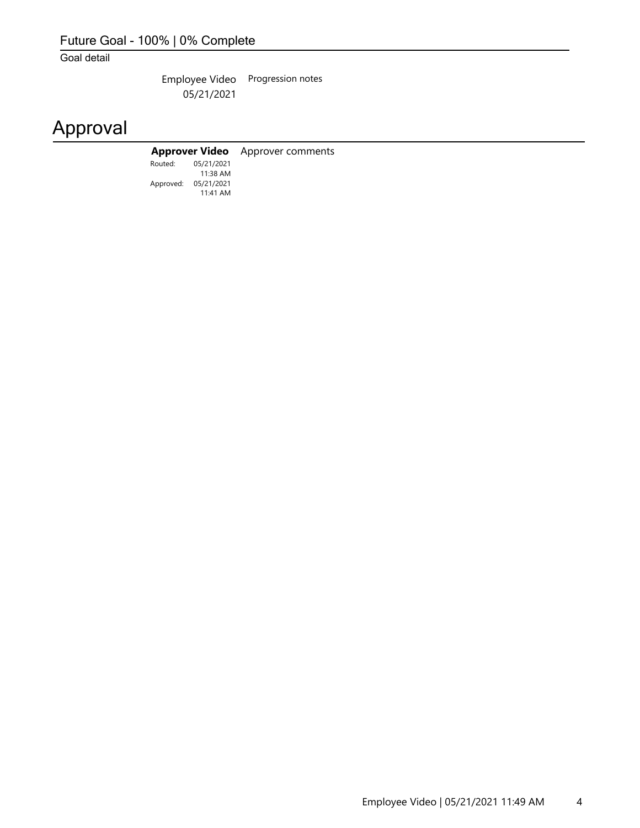### Future Goal - 100% | 0% Complete

Goal detail

Employee Video Progression notes 05/21/2021

# Approval

### **Approver Video** Approver comments

Approved: 05/21/2021 Routed: 11:41 AM 05/21/2021 11:38 AM